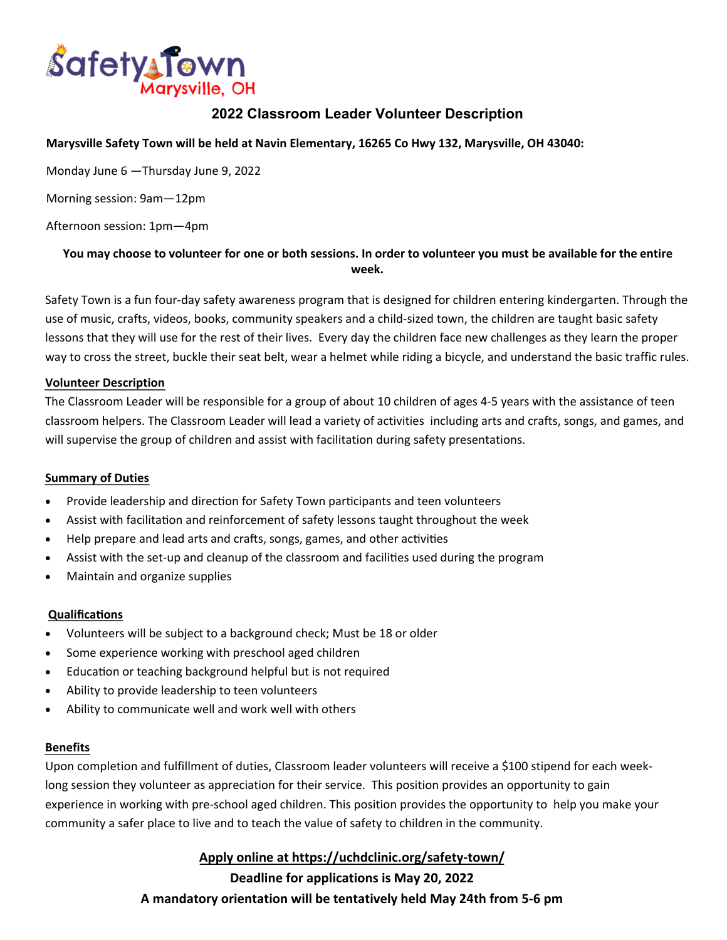

## **2022 Classroom Leader Volunteer Description**

#### **Marysville Safety Town will be held at Navin Elementary, 16265 Co Hwy 132, Marysville, OH 43040:**

Monday June 6 —Thursday June 9, 2022

Morning session: 9am—12pm

Afternoon session: 1pm—4pm

### **You may choose to volunteer for one or both sessions. In order to volunteer you must be available for the entire week.**

Safety Town is a fun four-day safety awareness program that is designed for children entering kindergarten. Through the use of music, crafts, videos, books, community speakers and a child-sized town, the children are taught basic safety lessons that they will use for the rest of their lives. Every day the children face new challenges as they learn the proper way to cross the street, buckle their seat belt, wear a helmet while riding a bicycle, and understand the basic traffic rules.

#### **Volunteer Description**

The Classroom Leader will be responsible for a group of about 10 children of ages 4-5 years with the assistance of teen classroom helpers. The Classroom Leader will lead a variety of activities including arts and crafts, songs, and games, and will supervise the group of children and assist with facilitation during safety presentations.

#### **Summary of Duties**

- Provide leadership and direction for Safety Town participants and teen volunteers
- Assist with facilitation and reinforcement of safety lessons taught throughout the week
- Help prepare and lead arts and crafts, songs, games, and other activities
- Assist with the set-up and cleanup of the classroom and facilities used during the program
- Maintain and organize supplies

#### **Qualifications**

- Volunteers will be subject to a background check; Must be 18 or older
- Some experience working with preschool aged children
- Education or teaching background helpful but is not required
- Ability to provide leadership to teen volunteers
- Ability to communicate well and work well with others

#### **Benefits**

Upon completion and fulfillment of duties, Classroom leader volunteers will receive a \$100 stipend for each weeklong session they volunteer as appreciation for their service. This position provides an opportunity to gain experience in working with pre-school aged children. This position provides the opportunity to help you make your community a safer place to live and to teach the value of safety to children in the community.

### **Apply online at https://uchdclinic.org/safety-town/**

**Deadline for applications is May 20, 2022 A mandatory orientation will be tentatively held May 24th from 5-6 pm**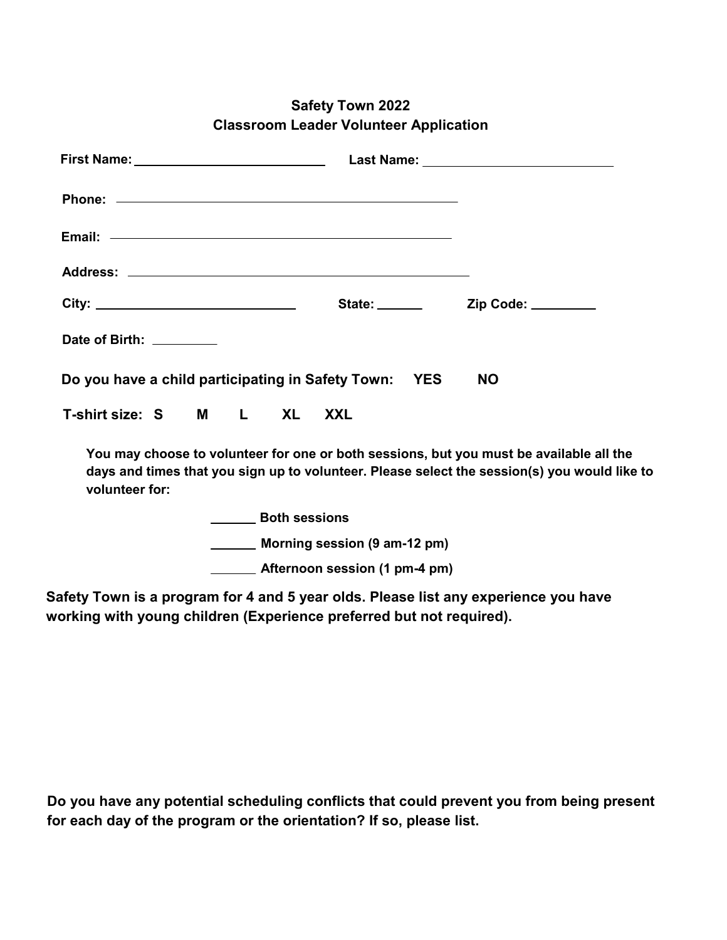| Date of Birth: ________                                                                                                                                                                                   |                                                   |  |  |  |  |
|-----------------------------------------------------------------------------------------------------------------------------------------------------------------------------------------------------------|---------------------------------------------------|--|--|--|--|
| Do you have a child participating in Safety Town: YES<br><b>NO</b>                                                                                                                                        |                                                   |  |  |  |  |
| T-shirt size: S M L XL XXL                                                                                                                                                                                |                                                   |  |  |  |  |
| You may choose to volunteer for one or both sessions, but you must be available all the<br>days and times that you sign up to volunteer. Please select the session(s) you would like to<br>volunteer for: |                                                   |  |  |  |  |
|                                                                                                                                                                                                           | <b>North Sessions</b>                             |  |  |  |  |
|                                                                                                                                                                                                           | ________ Morning session (9 am-12 pm)             |  |  |  |  |
|                                                                                                                                                                                                           | <b>EXAMPLE 2014</b> Afternoon session (1 pm-4 pm) |  |  |  |  |

# **Safety Town 2022 Classroom Leader Volunteer Application**

**Safety Town is a program for 4 and 5 year olds. Please list any experience you have working with young children (Experience preferred but not required).**

**Do you have any potential scheduling conflicts that could prevent you from being present for each day of the program or the orientation? If so, please list.**